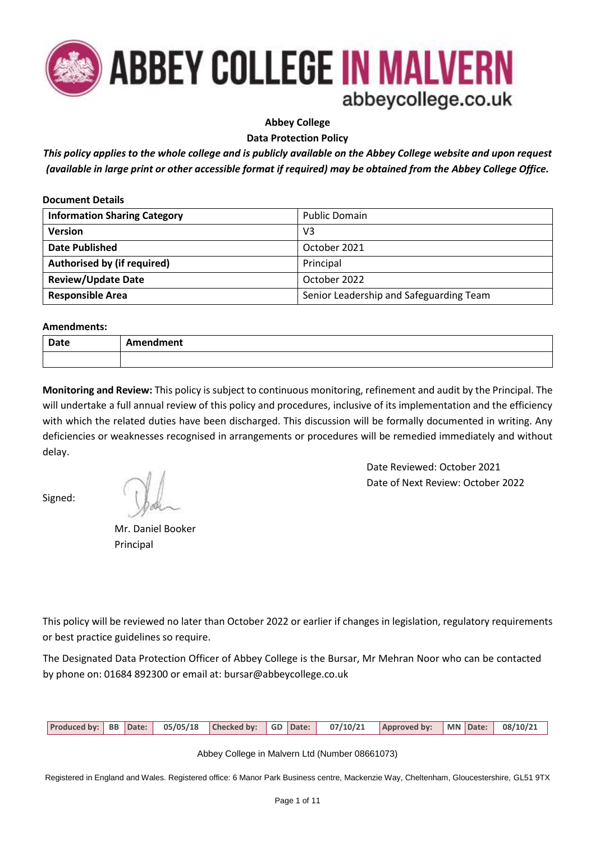

**Abbey College**

**Data Protection Policy**

*This policy applies to the whole college and is publicly available on the Abbey College website and upon request (available in large print or other accessible format if required) may be obtained from the Abbey College Office.*

| <b>Document Details</b>             |                                         |  |
|-------------------------------------|-----------------------------------------|--|
| <b>Information Sharing Category</b> | <b>Public Domain</b>                    |  |
| Version                             | V <sub>3</sub>                          |  |
| <b>Date Published</b>               | October 2021                            |  |
| Authorised by (if required)         | Principal                               |  |
| <b>Review/Update Date</b>           | October 2022                            |  |
| <b>Responsible Area</b>             | Senior Leadership and Safeguarding Team |  |

#### **Amendments:**

| Date | Amendment |
|------|-----------|
|      |           |

**Monitoring and Review:** This policy is subject to continuous monitoring, refinement and audit by the Principal. The will undertake a full annual review of this policy and procedures, inclusive of its implementation and the efficiency with which the related duties have been discharged. This discussion will be formally documented in writing. Any deficiencies or weaknesses recognised in arrangements or procedures will be remedied immediately and without delay.

Signed:

 Mr. Daniel Booker Principal

Date Reviewed: October 2021 Date of Next Review: October 2022

This policy will be reviewed no later than October 2022 or earlier if changes in legislation, regulatory requirements or best practice guidelines so require.

The Designated Data Protection Officer of Abbey College is the Bursar, Mr Mehran Noor who can be contacted by phone on: 01684 892300 or email at: bursar@abbeycollege.co.uk

| Produced by: BB Date: 05/05/18 Checked by: GD Date: 07/10/21 Approved by: MN Date: 08/10/21 |
|---------------------------------------------------------------------------------------------|
|---------------------------------------------------------------------------------------------|

Abbey College in Malvern Ltd (Number 08661073)

Registered in England and Wales. Registered office: 6 Manor Park Business centre, Mackenzie Way, Cheltenham, Gloucestershire, GL51 9TX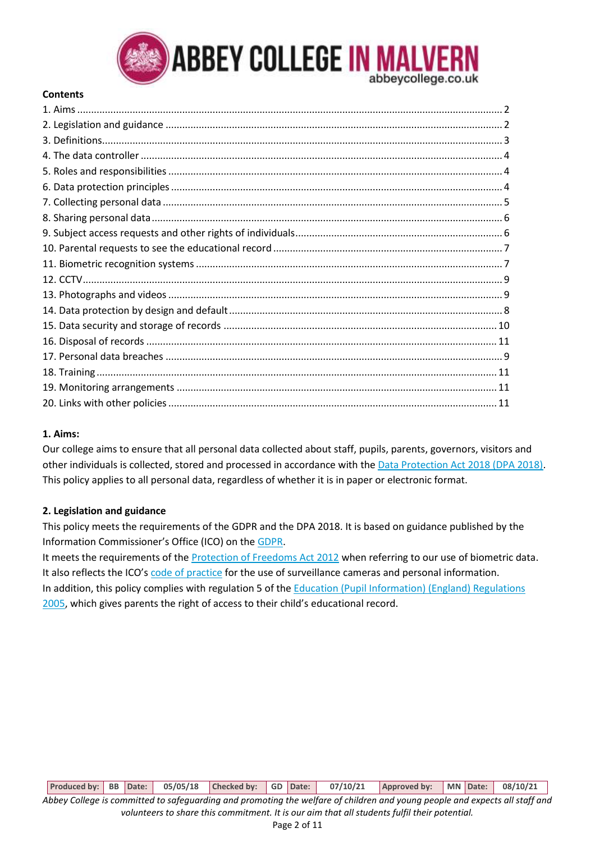

#### **Contents**

## **1. Aims:**

Our college aims to ensure that all personal data collected about staff, pupils, parents, governors, visitors and other individuals is collected, stored and processed in accordance with the Data [Protection Act 2018 \(DPA 2018\).](https://www.legislation.gov.uk/ukpga/2018/12/enacted) This policy applies to all personal data, regardless of whether it is in paper or electronic format.

## **2. Legislation and guidance**

This policy meets the requirements of the GDPR and the DPA 2018. It is based on guidance published by the Information Commissioner's Office (ICO) on th[e GDPR.](https://ico.org.uk/for-organisations/guide-to-the-general-data-protection-regulation-gdpr/)

It meets the requirements of th[e Protection of Freedoms Act 2012](https://www.legislation.gov.uk/ukpga/2012/9/part/1/chapter/2) when referring to our use of biometric data. It also reflects the ICO's [code of practice](https://ico.org.uk/media/for-organisations/documents/1542/cctv-code-of-practice.pdf) for the use of surveillance cameras and personal information. In addition, this policy complies with regulation 5 of the [Education \(Pupil Information\) \(England\) Regulations](http://www.legislation.gov.uk/uksi/2005/1437/regulation/5/made)  [2005,](http://www.legislation.gov.uk/uksi/2005/1437/regulation/5/made) which gives parents the right of access to their child's educational record.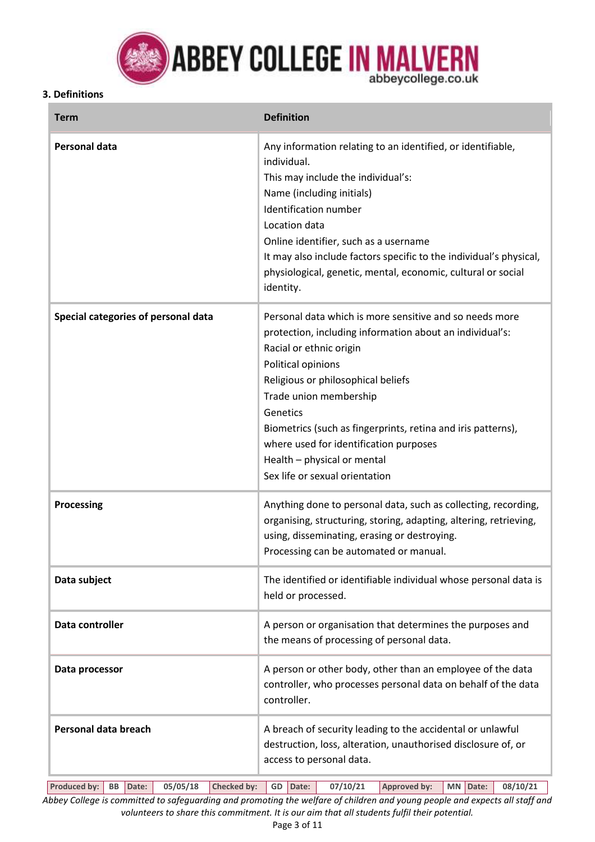

**ABBEY COLLEGE IN MALVERN** 

## **3. Definitions**

| <b>Term</b>                         | <b>Definition</b>                                                                                                                                                                                                                                                                                                                                                                                                           |
|-------------------------------------|-----------------------------------------------------------------------------------------------------------------------------------------------------------------------------------------------------------------------------------------------------------------------------------------------------------------------------------------------------------------------------------------------------------------------------|
| <b>Personal data</b>                | Any information relating to an identified, or identifiable,<br>individual.<br>This may include the individual's:<br>Name (including initials)<br>Identification number<br>Location data<br>Online identifier, such as a username<br>It may also include factors specific to the individual's physical,<br>physiological, genetic, mental, economic, cultural or social<br>identity.                                         |
| Special categories of personal data | Personal data which is more sensitive and so needs more<br>protection, including information about an individual's:<br>Racial or ethnic origin<br>Political opinions<br>Religious or philosophical beliefs<br>Trade union membership<br>Genetics<br>Biometrics (such as fingerprints, retina and iris patterns),<br>where used for identification purposes<br>Health - physical or mental<br>Sex life or sexual orientation |
| <b>Processing</b>                   | Anything done to personal data, such as collecting, recording,<br>organising, structuring, storing, adapting, altering, retrieving,<br>using, disseminating, erasing or destroying.<br>Processing can be automated or manual.                                                                                                                                                                                               |
| Data subject                        | The identified or identifiable individual whose personal data is<br>held or processed.                                                                                                                                                                                                                                                                                                                                      |
| Data controller                     | A person or organisation that determines the purposes and<br>the means of processing of personal data.                                                                                                                                                                                                                                                                                                                      |
| Data processor                      | A person or other body, other than an employee of the data<br>controller, who processes personal data on behalf of the data<br>controller.                                                                                                                                                                                                                                                                                  |
| Personal data breach                | A breach of security leading to the accidental or unlawful<br>destruction, loss, alteration, unauthorised disclosure of, or<br>access to personal data.                                                                                                                                                                                                                                                                     |

**Produced by: BB Date: 05/05/18 Checked by: GD Date: 07/10/21 Approved by: MN Date: 08/10/21** *Abbey College is committed to safeguarding and promoting the welfare of children and young people and expects all staff and volunteers to share this commitment. It is our aim that all students fulfil their potential.*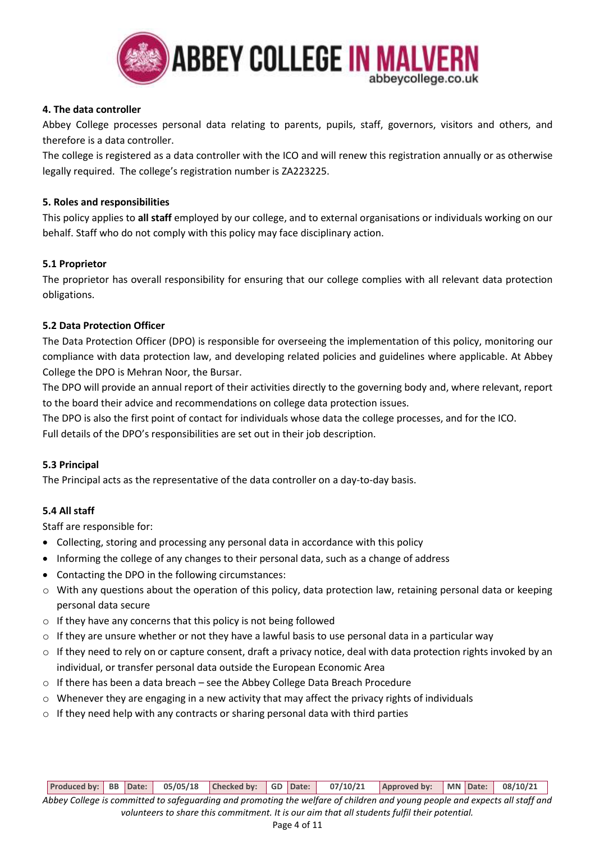

## **4. The data controller**

Abbey College processes personal data relating to parents, pupils, staff, governors, visitors and others, and therefore is a data controller.

The college is registered as a data controller with the ICO and will renew this registration annually or as otherwise legally required. The college's registration number is ZA223225.

## **5. Roles and responsibilities**

This policy applies to **all staff** employed by our college, and to external organisations or individuals working on our behalf. Staff who do not comply with this policy may face disciplinary action.

#### **5.1 Proprietor**

The proprietor has overall responsibility for ensuring that our college complies with all relevant data protection obligations.

#### **5.2 Data Protection Officer**

The Data Protection Officer (DPO) is responsible for overseeing the implementation of this policy, monitoring our compliance with data protection law, and developing related policies and guidelines where applicable. At Abbey College the DPO is Mehran Noor, the Bursar.

The DPO will provide an annual report of their activities directly to the governing body and, where relevant, report to the board their advice and recommendations on college data protection issues.

The DPO is also the first point of contact for individuals whose data the college processes, and for the ICO. Full details of the DPO's responsibilities are set out in their job description.

## **5.3 Principal**

The Principal acts as the representative of the data controller on a day-to-day basis.

## **5.4 All staff**

Staff are responsible for:

- Collecting, storing and processing any personal data in accordance with this policy
- Informing the college of any changes to their personal data, such as a change of address
- Contacting the DPO in the following circumstances:
- o With any questions about the operation of this policy, data protection law, retaining personal data or keeping personal data secure
- o If they have any concerns that this policy is not being followed
- $\circ$  If they are unsure whether or not they have a lawful basis to use personal data in a particular way
- o If they need to rely on or capture consent, draft a privacy notice, deal with data protection rights invoked by an individual, or transfer personal data outside the European Economic Area
- o If there has been a data breach see the Abbey College Data Breach Procedure
- $\circ$  Whenever they are engaging in a new activity that may affect the privacy rights of individuals
- $\circ$  If they need help with any contracts or sharing personal data with third parties

**Produced by: BB Date: 05/05/18 Checked by: GD Date: 07/10/21 Approved by: MN Date: 08/10/21** *Abbey College is committed to safeguarding and promoting the welfare of children and young people and expects all staff and* 

*volunteers to share this commitment. It is our aim that all students fulfil their potential.*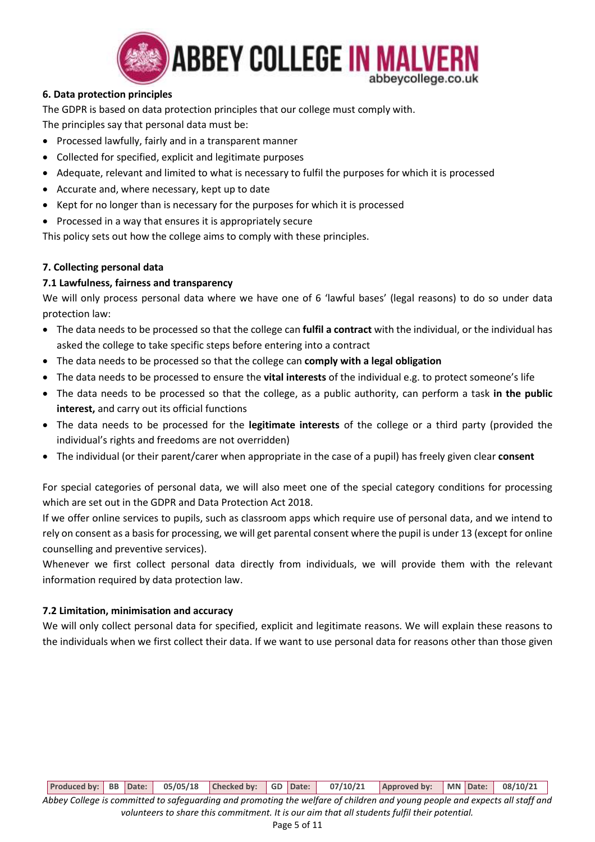

# **6. Data protection principles**

The GDPR is based on data protection principles that our college must comply with. The principles say that personal data must be:

- Processed lawfully, fairly and in a transparent manner
- Collected for specified, explicit and legitimate purposes
- Adequate, relevant and limited to what is necessary to fulfil the purposes for which it is processed
- Accurate and, where necessary, kept up to date
- Kept for no longer than is necessary for the purposes for which it is processed
- Processed in a way that ensures it is appropriately secure

This policy sets out how the college aims to comply with these principles.

## **7. Collecting personal data**

## **7.1 Lawfulness, fairness and transparency**

We will only process personal data where we have one of 6 'lawful bases' (legal reasons) to do so under data protection law:

- The data needs to be processed so that the college can **fulfil a contract** with the individual, or the individual has asked the college to take specific steps before entering into a contract
- The data needs to be processed so that the college can **comply with a legal obligation**
- The data needs to be processed to ensure the **vital interests** of the individual e.g. to protect someone's life
- The data needs to be processed so that the college, as a public authority, can perform a task **in the public interest,** and carry out its official functions
- The data needs to be processed for the **legitimate interests** of the college or a third party (provided the individual's rights and freedoms are not overridden)
- The individual (or their parent/carer when appropriate in the case of a pupil) has freely given clear **consent**

For special categories of personal data, we will also meet one of the special category conditions for processing which are set out in the GDPR and Data Protection Act 2018.

If we offer online services to pupils, such as classroom apps which require use of personal data, and we intend to rely on consent as a basis for processing, we will get parental consent where the pupil is under 13 (except for online counselling and preventive services).

Whenever we first collect personal data directly from individuals, we will provide them with the relevant information required by data protection law.

## **7.2 Limitation, minimisation and accuracy**

We will only collect personal data for specified, explicit and legitimate reasons. We will explain these reasons to the individuals when we first collect their data. If we want to use personal data for reasons other than those given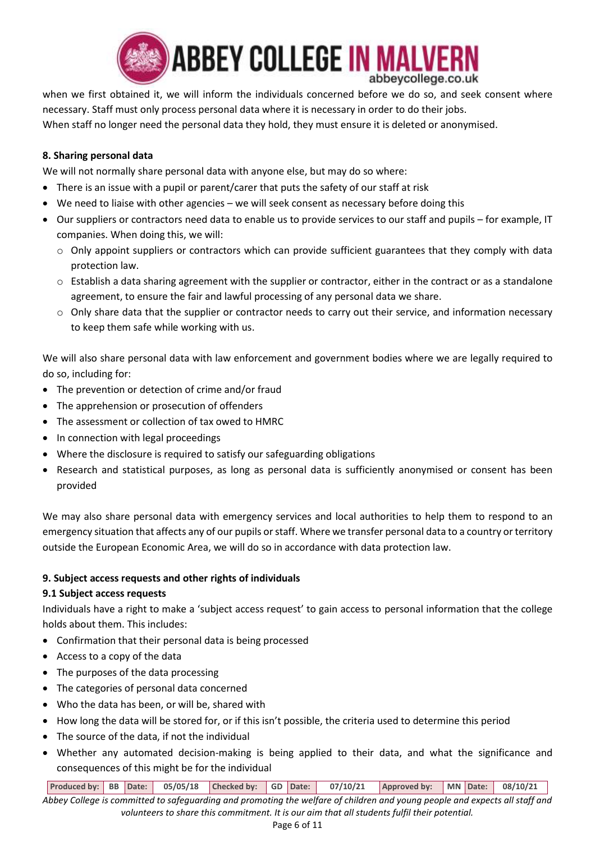

when we first obtained it, we will inform the individuals concerned before we do so, and seek consent where necessary. Staff must only process personal data where it is necessary in order to do their jobs. When staff no longer need the personal data they hold, they must ensure it is deleted or anonymised.

## **8. Sharing personal data**

We will not normally share personal data with anyone else, but may do so where:

- There is an issue with a pupil or parent/carer that puts the safety of our staff at risk
- We need to liaise with other agencies we will seek consent as necessary before doing this
- Our suppliers or contractors need data to enable us to provide services to our staff and pupils for example, IT companies. When doing this, we will:
	- o Only appoint suppliers or contractors which can provide sufficient guarantees that they comply with data protection law.
	- $\circ$  Establish a data sharing agreement with the supplier or contractor, either in the contract or as a standalone agreement, to ensure the fair and lawful processing of any personal data we share.
	- o Only share data that the supplier or contractor needs to carry out their service, and information necessary to keep them safe while working with us.

We will also share personal data with law enforcement and government bodies where we are legally required to do so, including for:

- The prevention or detection of crime and/or fraud
- The apprehension or prosecution of offenders
- The assessment or collection of tax owed to HMRC
- In connection with legal proceedings
- Where the disclosure is required to satisfy our safeguarding obligations
- Research and statistical purposes, as long as personal data is sufficiently anonymised or consent has been provided

We may also share personal data with emergency services and local authorities to help them to respond to an emergency situation that affects any of our pupils or staff. Where we transfer personal data to a country or territory outside the European Economic Area, we will do so in accordance with data protection law.

## **9. Subject access requests and other rights of individuals**

## **9.1 Subject access requests**

Individuals have a right to make a 'subject access request' to gain access to personal information that the college holds about them. This includes:

- Confirmation that their personal data is being processed
- Access to a copy of the data
- The purposes of the data processing
- The categories of personal data concerned
- Who the data has been, or will be, shared with
- How long the data will be stored for, or if this isn't possible, the criteria used to determine this period
- The source of the data, if not the individual
- Whether any automated decision-making is being applied to their data, and what the significance and consequences of this might be for the individual

**Produced by: BB Date: 05/05/18 Checked by: GD Date: 07/10/21 Approved by: MN Date: 08/10/21**

*Abbey College is committed to safeguarding and promoting the welfare of children and young people and expects all staff and volunteers to share this commitment. It is our aim that all students fulfil their potential.*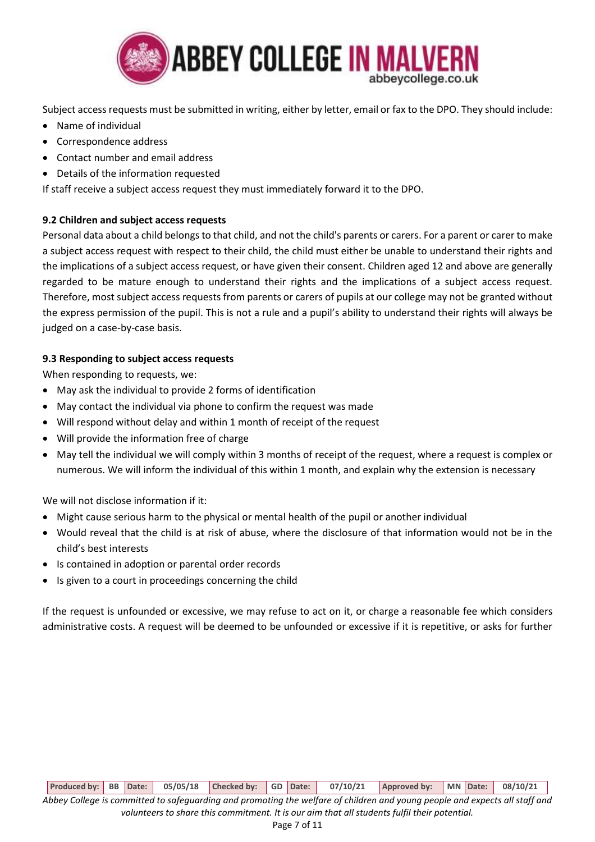

Subject access requests must be submitted in writing, either by letter, email or fax to the DPO. They should include:

- Name of individual
- Correspondence address
- Contact number and email address
- Details of the information requested

If staff receive a subject access request they must immediately forward it to the DPO.

## **9.2 Children and subject access requests**

Personal data about a child belongs to that child, and not the child's parents or carers. For a parent or carer to make a subject access request with respect to their child, the child must either be unable to understand their rights and the implications of a subject access request, or have given their consent. Children aged 12 and above are generally regarded to be mature enough to understand their rights and the implications of a subject access request. Therefore, most subject access requests from parents or carers of pupils at our college may not be granted without the express permission of the pupil. This is not a rule and a pupil's ability to understand their rights will always be judged on a case-by-case basis.

## **9.3 Responding to subject access requests**

When responding to requests, we:

- May ask the individual to provide 2 forms of identification
- May contact the individual via phone to confirm the request was made
- Will respond without delay and within 1 month of receipt of the request
- Will provide the information free of charge
- May tell the individual we will comply within 3 months of receipt of the request, where a request is complex or numerous. We will inform the individual of this within 1 month, and explain why the extension is necessary

We will not disclose information if it:

- Might cause serious harm to the physical or mental health of the pupil or another individual
- Would reveal that the child is at risk of abuse, where the disclosure of that information would not be in the child's best interests
- Is contained in adoption or parental order records
- Is given to a court in proceedings concerning the child

If the request is unfounded or excessive, we may refuse to act on it, or charge a reasonable fee which considers administrative costs. A request will be deemed to be unfounded or excessive if it is repetitive, or asks for further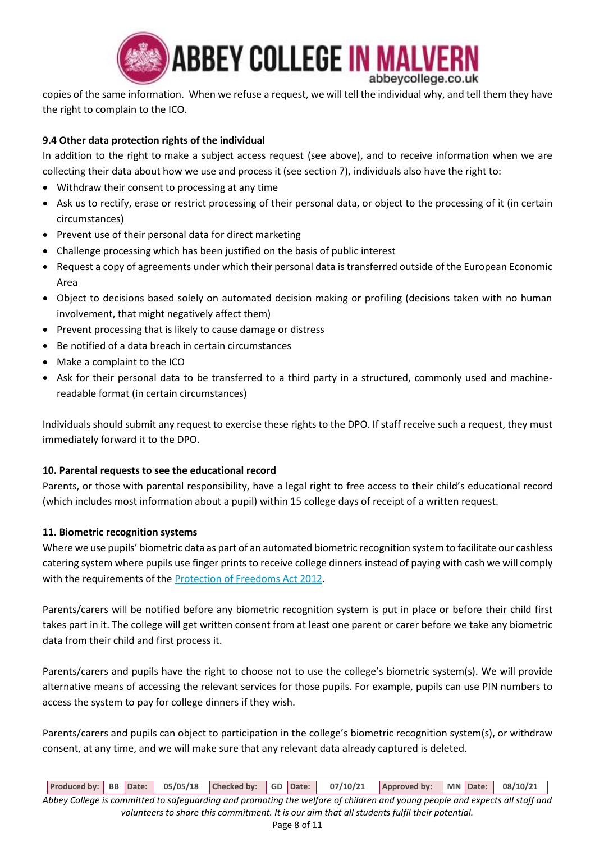

copies of the same information. When we refuse a request, we will tell the individual why, and tell them they have the right to complain to the ICO.

# **9.4 Other data protection rights of the individual**

In addition to the right to make a subject access request (see above), and to receive information when we are collecting their data about how we use and process it (see section 7), individuals also have the right to:

- Withdraw their consent to processing at any time
- Ask us to rectify, erase or restrict processing of their personal data, or object to the processing of it (in certain circumstances)
- Prevent use of their personal data for direct marketing
- Challenge processing which has been justified on the basis of public interest
- Request a copy of agreements under which their personal data is transferred outside of the European Economic Area
- Object to decisions based solely on automated decision making or profiling (decisions taken with no human involvement, that might negatively affect them)
- Prevent processing that is likely to cause damage or distress
- Be notified of a data breach in certain circumstances
- Make a complaint to the ICO
- Ask for their personal data to be transferred to a third party in a structured, commonly used and machinereadable format (in certain circumstances)

Individuals should submit any request to exercise these rights to the DPO. If staff receive such a request, they must immediately forward it to the DPO.

## **10. Parental requests to see the educational record**

Parents, or those with parental responsibility, have a legal right to free access to their child's educational record (which includes most information about a pupil) within 15 college days of receipt of a written request.

## **11. Biometric recognition systems**

Where we use pupils' biometric data as part of an automated biometric recognition system to facilitate our cashless catering system where pupils use finger prints to receive college dinners instead of paying with cash we will comply with the requirements of the **Protection of Freedoms Act 2012**.

Parents/carers will be notified before any biometric recognition system is put in place or before their child first takes part in it. The college will get written consent from at least one parent or carer before we take any biometric data from their child and first process it.

Parents/carers and pupils have the right to choose not to use the college's biometric system(s). We will provide alternative means of accessing the relevant services for those pupils. For example, pupils can use PIN numbers to access the system to pay for college dinners if they wish.

Parents/carers and pupils can object to participation in the college's biometric recognition system(s), or withdraw consent, at any time, and we will make sure that any relevant data already captured is deleted.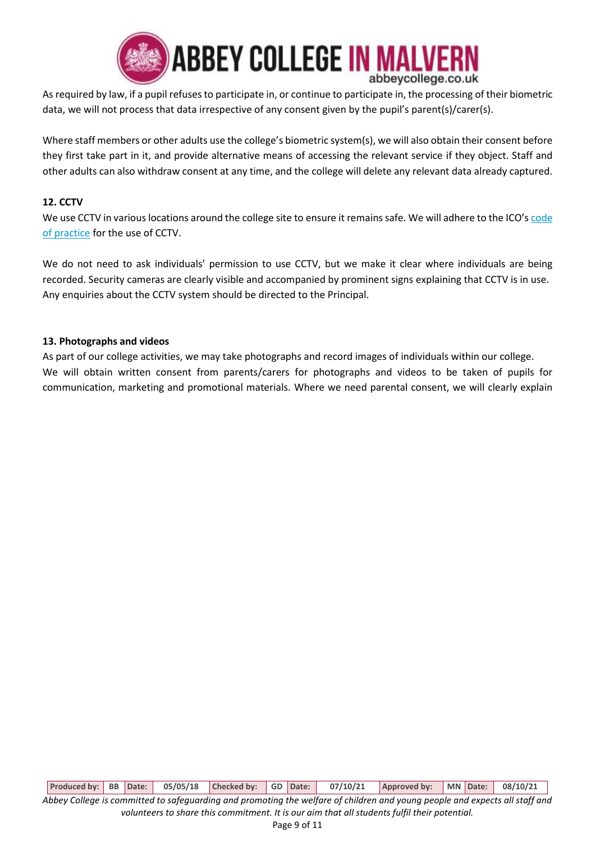

As required by law, if a pupil refuses to participate in, or continue to participate in, the processing of their biometric data, we will not process that data irrespective of any consent given by the pupil's parent(s)/carer(s).

Where staff members or other adults use the college's biometric system(s), we will also obtain their consent before they first take part in it, and provide alternative means of accessing the relevant service if they object. Staff and other adults can also withdraw consent at any time, and the college will delete any relevant data already captured.

## **12. CCTV**

We use CCTV in various locations around the college site to ensure it remains safe. We will adhere to the ICO's code [of practice](https://ico.org.uk/media/for-organisations/documents/1542/cctv-code-of-practice.pdf) for the use of CCTV.

We do not need to ask individuals' permission to use CCTV, but we make it clear where individuals are being recorded. Security cameras are clearly visible and accompanied by prominent signs explaining that CCTV is in use. Any enquiries about the CCTV system should be directed to the Principal.

## **13. Photographs and videos**

As part of our college activities, we may take photographs and record images of individuals within our college. We will obtain written consent from parents/carers for photographs and videos to be taken of pupils for communication, marketing and promotional materials. Where we need parental consent, we will clearly explain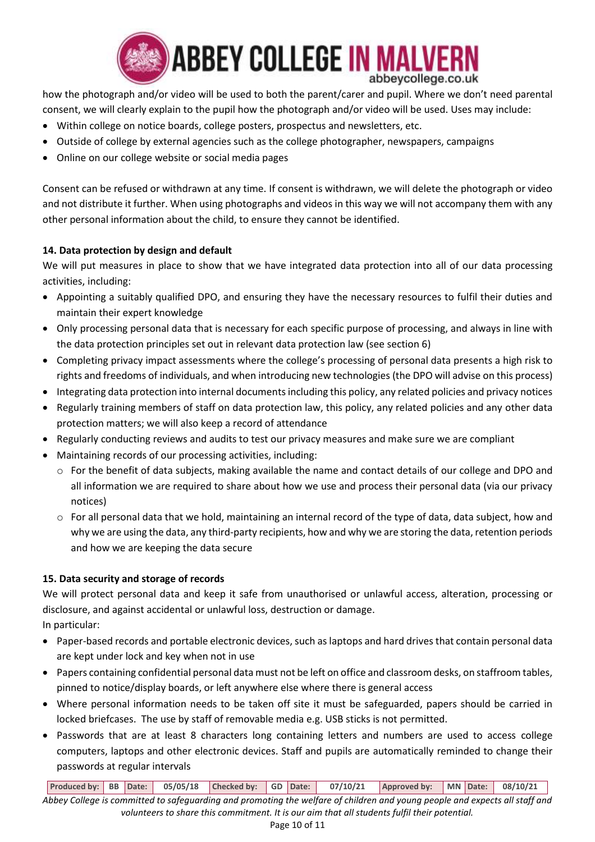

how the photograph and/or video will be used to both the parent/carer and pupil. Where we don't need parental consent, we will clearly explain to the pupil how the photograph and/or video will be used. Uses may include:

- Within college on notice boards, college posters, prospectus and newsletters, etc.
- Outside of college by external agencies such as the college photographer, newspapers, campaigns
- Online on our college website or social media pages

Consent can be refused or withdrawn at any time. If consent is withdrawn, we will delete the photograph or video and not distribute it further. When using photographs and videos in this way we will not accompany them with any other personal information about the child, to ensure they cannot be identified.

# **14. Data protection by design and default**

We will put measures in place to show that we have integrated data protection into all of our data processing activities, including:

- Appointing a suitably qualified DPO, and ensuring they have the necessary resources to fulfil their duties and maintain their expert knowledge
- Only processing personal data that is necessary for each specific purpose of processing, and always in line with the data protection principles set out in relevant data protection law (see section 6)
- Completing privacy impact assessments where the college's processing of personal data presents a high risk to rights and freedoms of individuals, and when introducing new technologies (the DPO will advise on this process)
- Integrating data protection into internal documents including this policy, any related policies and privacy notices
- Regularly training members of staff on data protection law, this policy, any related policies and any other data protection matters; we will also keep a record of attendance
- Regularly conducting reviews and audits to test our privacy measures and make sure we are compliant
- Maintaining records of our processing activities, including:
	- o For the benefit of data subjects, making available the name and contact details of our college and DPO and all information we are required to share about how we use and process their personal data (via our privacy notices)
	- o For all personal data that we hold, maintaining an internal record of the type of data, data subject, how and why we are using the data, any third-party recipients, how and why we are storing the data, retention periods and how we are keeping the data secure

# **15. Data security and storage of records**

We will protect personal data and keep it safe from unauthorised or unlawful access, alteration, processing or disclosure, and against accidental or unlawful loss, destruction or damage. In particular:

- Paper-based records and portable electronic devices, such as laptops and hard drives that contain personal data are kept under lock and key when not in use
- Papers containing confidential personal data must not be left on office and classroom desks, on staffroom tables, pinned to notice/display boards, or left anywhere else where there is general access
- Where personal information needs to be taken off site it must be safeguarded, papers should be carried in locked briefcases. The use by staff of removable media e.g. USB sticks is not permitted.
- Passwords that are at least 8 characters long containing letters and numbers are used to access college computers, laptops and other electronic devices. Staff and pupils are automatically reminded to change their passwords at regular intervals